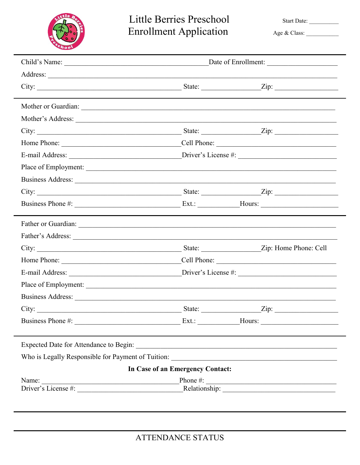

## Little Berries Preschool **Enrollment Application**

Start Date:

Age & Class:

| City: $\frac{2}{\pi}$ State: $\frac{2}{\pi}$ State: $\frac{2}{\pi}$ Zip:                                                                                                                                                      |  |  |  |  |  |  |
|-------------------------------------------------------------------------------------------------------------------------------------------------------------------------------------------------------------------------------|--|--|--|--|--|--|
|                                                                                                                                                                                                                               |  |  |  |  |  |  |
|                                                                                                                                                                                                                               |  |  |  |  |  |  |
|                                                                                                                                                                                                                               |  |  |  |  |  |  |
|                                                                                                                                                                                                                               |  |  |  |  |  |  |
|                                                                                                                                                                                                                               |  |  |  |  |  |  |
|                                                                                                                                                                                                                               |  |  |  |  |  |  |
|                                                                                                                                                                                                                               |  |  |  |  |  |  |
|                                                                                                                                                                                                                               |  |  |  |  |  |  |
| City: $\frac{2}{\pi}$ State: $\frac{2}{\pi}$ Zip: $\frac{2}{\pi}$                                                                                                                                                             |  |  |  |  |  |  |
|                                                                                                                                                                                                                               |  |  |  |  |  |  |
|                                                                                                                                                                                                                               |  |  |  |  |  |  |
|                                                                                                                                                                                                                               |  |  |  |  |  |  |
|                                                                                                                                                                                                                               |  |  |  |  |  |  |
|                                                                                                                                                                                                                               |  |  |  |  |  |  |
|                                                                                                                                                                                                                               |  |  |  |  |  |  |
|                                                                                                                                                                                                                               |  |  |  |  |  |  |
|                                                                                                                                                                                                                               |  |  |  |  |  |  |
| City: $\frac{2}{\pi}$ State: $\frac{2}{\pi}$ State: $\frac{2}{\pi}$                                                                                                                                                           |  |  |  |  |  |  |
|                                                                                                                                                                                                                               |  |  |  |  |  |  |
|                                                                                                                                                                                                                               |  |  |  |  |  |  |
|                                                                                                                                                                                                                               |  |  |  |  |  |  |
| In Case of an Emergency Contact:                                                                                                                                                                                              |  |  |  |  |  |  |
|                                                                                                                                                                                                                               |  |  |  |  |  |  |
| Name: Phone #: Phone #: Phone #: Phone #: Phone #: Phone #: Phone #: Phone #: Phone #: Phone #: Phone #: Phone #: Phone #: Phone #: Phone #: Phone #: Phone #: Phone #: Phone #: Phone #: Phone #: Phone #: Phone #: Phone #: |  |  |  |  |  |  |
|                                                                                                                                                                                                                               |  |  |  |  |  |  |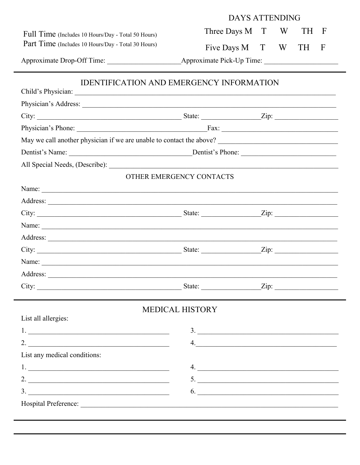|                                                                                                                                                                                                                               | <b>DAYS ATTENDING</b>    |  |   |      |             |  |  |
|-------------------------------------------------------------------------------------------------------------------------------------------------------------------------------------------------------------------------------|--------------------------|--|---|------|-------------|--|--|
| Full Time (Includes 10 Hours/Day - Total 50 Hours)                                                                                                                                                                            | Three Days M T           |  | W | TH F |             |  |  |
| Part Time (Includes 10 Hours/Day - Total 30 Hours)                                                                                                                                                                            | Five Days M T            |  | W | TH - | $\mathbf F$ |  |  |
|                                                                                                                                                                                                                               |                          |  |   |      |             |  |  |
| <b>IDENTIFICATION AND EMERGENCY INFORMATION</b>                                                                                                                                                                               |                          |  |   |      |             |  |  |
|                                                                                                                                                                                                                               |                          |  |   |      |             |  |  |
|                                                                                                                                                                                                                               |                          |  |   |      |             |  |  |
|                                                                                                                                                                                                                               |                          |  |   |      |             |  |  |
|                                                                                                                                                                                                                               |                          |  |   |      |             |  |  |
|                                                                                                                                                                                                                               |                          |  |   |      |             |  |  |
|                                                                                                                                                                                                                               |                          |  |   |      |             |  |  |
|                                                                                                                                                                                                                               |                          |  |   |      |             |  |  |
|                                                                                                                                                                                                                               | OTHER EMERGENCY CONTACTS |  |   |      |             |  |  |
|                                                                                                                                                                                                                               |                          |  |   |      |             |  |  |
|                                                                                                                                                                                                                               |                          |  |   |      |             |  |  |
|                                                                                                                                                                                                                               |                          |  |   |      |             |  |  |
| Name: Name: Name: Name: Name: Name: Name: Name: Name: Name: Name: Name: Name: Name: Name: Name: Name: Name: Name: Name: Name: Name: Name: Name: Name: Name: Name: Name: Name: Name: Name: Name: Name: Name: Name: Name: Name: |                          |  |   |      |             |  |  |
|                                                                                                                                                                                                                               |                          |  |   |      |             |  |  |
|                                                                                                                                                                                                                               |                          |  |   |      |             |  |  |
|                                                                                                                                                                                                                               |                          |  |   |      |             |  |  |
|                                                                                                                                                                                                                               |                          |  |   |      |             |  |  |
|                                                                                                                                                                                                                               |                          |  |   |      |             |  |  |
| <b>MEDICAL HISTORY</b>                                                                                                                                                                                                        |                          |  |   |      |             |  |  |
| List all allergies:                                                                                                                                                                                                           |                          |  |   |      |             |  |  |
|                                                                                                                                                                                                                               | 3.                       |  |   |      |             |  |  |
|                                                                                                                                                                                                                               | 4.                       |  |   |      |             |  |  |
| List any medical conditions:                                                                                                                                                                                                  |                          |  |   |      |             |  |  |
|                                                                                                                                                                                                                               | 4.                       |  |   |      |             |  |  |
| 2. $\overline{\phantom{a}}$                                                                                                                                                                                                   | 5.                       |  |   |      |             |  |  |
|                                                                                                                                                                                                                               | 6.                       |  |   |      |             |  |  |
|                                                                                                                                                                                                                               |                          |  |   |      |             |  |  |
|                                                                                                                                                                                                                               |                          |  |   |      |             |  |  |